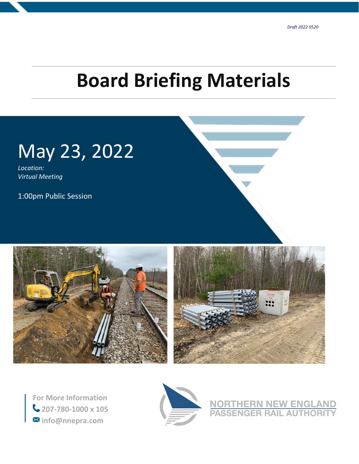# **Board Briefing Materials**



*Location: Virtual Meeting*

1:00pm Public Session





**For More Information 207-780-1000 x 105 info@nnepra.com**



**NORTHERN NEW ENGLAND<br>PASSENGER RAIL AUTHORITY**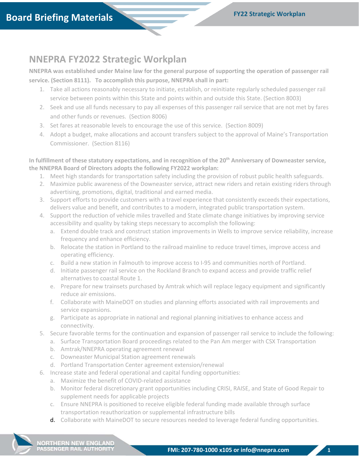# **NNEPRA FY2022 Strategic Workplan**

**NNEPRA was established under Maine law for the general purpose of supporting the operation of passenger rail service. (Section 8111). To accomplish this purpose, NNEPRA shall in part:**

- 1. Take all actions reasonably necessary to initiate, establish, or reinitiate regularly scheduled passenger rail service between points within this State and points within and outside this State. (Section 8003)
- 2. Seek and use all funds necessary to pay all expenses of this passenger rail service that are not met by fares and other funds or revenues. (Section 8006)
- 3. Set fares at reasonable levels to encourage the use of this service. (Section 8009)
- 4. Adopt a budget, make allocations and account transfers subject to the approval of Maine's Transportation Commissioner. (Section 8116)

**In fulfillment of these statutory expectations, and in recognition of the 20th Anniversary of Downeaster service, the NNEPRA Board of Directors adopts the following FY2022 workplan:**

- 1. Meet high standards for transportation safety including the provision of robust public health safeguards.
- 2. Maximize public awareness of the Downeaster service, attract new riders and retain existing riders through advertising, promotions, digital, traditional and earned media.
- 3. Support efforts to provide customers with a travel experience that consistently exceeds their expectations, delivers value and benefit, and contributes to a modern, integrated public transportation system.
- 4. Support the reduction of vehicle miles travelled and State climate change initiatives by improving service accessibility and quality by taking steps necessary to accomplish the following:
	- a. Extend double track and construct station improvements in Wells to improve service reliability, increase frequency and enhance efficiency.
	- b. Relocate the station in Portland to the railroad mainline to reduce travel times, improve access and operating efficiency.
	- c. Build a new station in Falmouth to improve access to I-95 and communities north of Portland.
	- d. Initiate passenger rail service on the Rockland Branch to expand access and provide traffic relief alternatives to coastal Route 1.
	- e. Prepare for new trainsets purchased by Amtrak which will replace legacy equipment and significantly reduce air emissions.
	- f. Collaborate with MaineDOT on studies and planning efforts associated with rail improvements and service expansions.
	- g. Participate as appropriate in national and regional planning initiatives to enhance access and connectivity.
- 5. Secure favorable terms for the continuation and expansion of passenger rail service to include the following:
	- a. Surface Transportation Board proceedings related to the Pan Am merger with CSX Transportation
	- b. Amtrak/NNEPRA operating agreement renewal
	- c. Downeaster Municipal Station agreement renewals
	- d. Portland Transportation Center agreement extension/renewal
- 6. Increase state and federal operational and capital funding opportunities:
	- a. Maximize the benefit of COVID-related assistance
	- b. Monitor federal discretionary grant opportunities including CRISI, RAISE, and State of Good Repair to supplement needs for applicable projects
	- c. Ensure NNEPRA is positioned to receive eligible federal funding made available through surface transportation reauthorization or supplemental infrastructure bills
	- d. Collaborate with MaineDOT to secure resources needed to leverage federal funding opportunities.

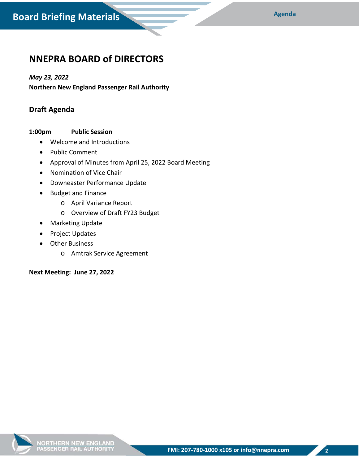## **NNEPRA BOARD of DIRECTORS**

#### *May 23, 2022*

**Northern New England Passenger Rail Authority**

## **Draft Agenda**

#### **1:00pm Public Session**

- Welcome and Introductions
- Public Comment
- Approval of Minutes from April 25, 2022 Board Meeting
- Nomination of Vice Chair
- Downeaster Performance Update
- Budget and Finance
	- o April Variance Report
	- o Overview of Draft FY23 Budget
- Marketing Update
- Project Updates
- Other Business
	- o Amtrak Service Agreement

**Next Meeting: June 27, 2022**



**2**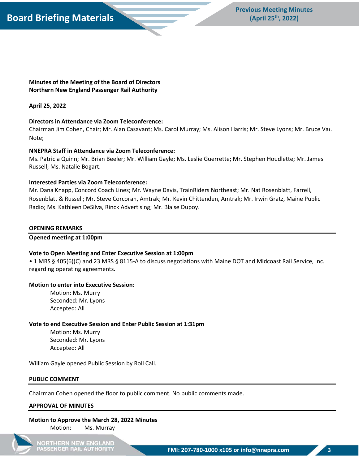

**Minutes of the Meeting of the Board of Directors Northern New England Passenger Rail Authority**

#### **April 25, 2022**

#### **Directors in Attendance via Zoom Teleconference:**

Chairman Jim Cohen, Chair; Mr. Alan Casavant; Ms. Carol Murray; Ms. Alison Harris; Mr. Steve Lyons; Mr. Bruce Van **2** Note;

#### **NNEPRA Staff in Attendance via Zoom Teleconference:**

Ms. Patricia Quinn; Mr. Brian Beeler; Mr. William Gayle; Ms. Leslie Guerrette; Mr. Stephen Houdlette; Mr. James Russell; Ms. Natalie Bogart.

#### **Interested Parties via Zoom Teleconference:**

Mr. Dana Knapp, Concord Coach Lines; Mr. Wayne Davis, TrainRiders Northeast; Mr. Nat Rosenblatt, Farrell, Rosenblatt & Russell; Mr. Steve Corcoran, Amtrak; Mr. Kevin Chittenden, Amtrak; Mr. Irwin Gratz, Maine Public Radio; Ms. Kathleen DeSilva, Rinck Advertising; Mr. Blaise Dupoy.

#### **OPENING REMARKS**

#### **Opened meeting at 1:00pm**

#### **Vote to Open Meeting and Enter Executive Session at 1:00pm**

• 1 MRS § 405(6)(C) and 23 MRS § 8115-A to discuss negotiations with Maine DOT and Midcoast Rail Service, Inc. regarding operating agreements.

#### **Motion to enter into Executive Session:**

Motion: Ms. Murry Seconded: Mr. Lyons Accepted: All

#### **Vote to end Executive Session and Enter Public Session at 1:31pm**

Motion: Ms. Murry Seconded: Mr. Lyons Accepted: All

William Gayle opened Public Session by Roll Call.

#### **PUBLIC COMMENT**

Chairman Cohen opened the floor to public comment. No public comments made.

#### **APPROVAL OF MINUTES**

#### **Motion to Approve the March 28, 2022 Minutes** Motion: Ms. Murray

**NORTHERN NEW ENGLAND** PASSENGER RAIL AUTHORITY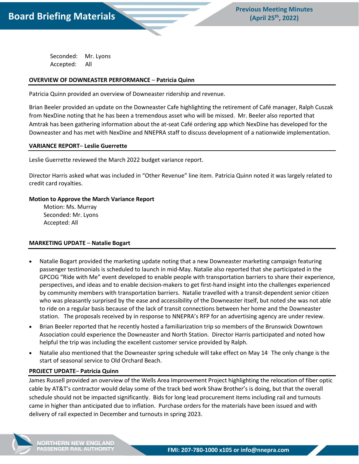

Seconded: Mr. Lyons Accepted: All

#### **OVERVIEW OF DOWNEASTER PERFORMANCE** – **Patricia Quinn**

Patricia Quinn provided an overview of Downeaster ridership and revenue.

Brian Beeler provided an update on the Downeaster Cafe highlighting the retirement of Café manager, Ralph Cuszak from NexDine noting that he has been a tremendous asset who will be missed. Mr. Beeler also reported that Amtrak has been gathering information about the at-seat Café ordering app which NexDine has developed for the Downeaster and has met with NexDine and NNEPRA staff to discuss development of a nationwide implementation.

#### **VARIANCE REPORT**– **Leslie Guerrette**

Leslie Guerrette reviewed the March 2022 budget variance report.

Director Harris asked what was included in "Other Revenue" line item. Patricia Quinn noted it was largely related to credit card royalties.

#### **Motion to Approve the March Variance Report**

 Motion: Ms. Murray Seconded: Mr. Lyons Accepted: All

#### **MARKETING UPDATE** – **Natalie Bogart**

- Natalie Bogart provided the marketing update noting that a new Downeaster marketing campaign featuring passenger testimonials is scheduled to launch in mid-May. Natalie also reported that she participated in the GPCOG "Ride with Me" event developed to enable people with transportation barriers to share their experience, perspectives, and ideas and to enable decision-makers to get first-hand insight into the challenges experienced by community members with transportation barriers. Natalie travelled with a transit-dependent senior citizen who was pleasantly surprised by the ease and accessibility of the Downeaster itself, but noted she was not able to ride on a regular basis because of the lack of transit connections between her home and the Downeaster station. The proposals received by in response to NNEPRA's RFP for an advertising agency are under review.
- Brian Beeler reported that he recently hosted a familiarization trip so members of the Brunswick Downtown Association could experience the Downeaster and North Station. Director Harris participated and noted how helpful the trip was including the excellent customer service provided by Ralph.
- Natalie also mentioned that the Downeaster spring schedule will take effect on May 14. The only change is the start of seasonal service to Old Orchard Beach.

#### **PROJECT UPDATE**– **Patricia Quinn**

James Russell provided an overview of the Wells Area Improvement Project highlighting the relocation of fiber optic cable by AT&T's contractor would delay some of the track bed work Shaw Brother's is doing, but that the overall schedule should not be impacted significantly. Bids for long lead procurement items including rail and turnouts came in higher than anticipated due to inflation. Purchase orders for the materials have been issued and with delivery of rail expected in December and turnouts in spring 2023.



**IORTHERN NEW ENGLAND ASSENGER RAIL AUTHORITY**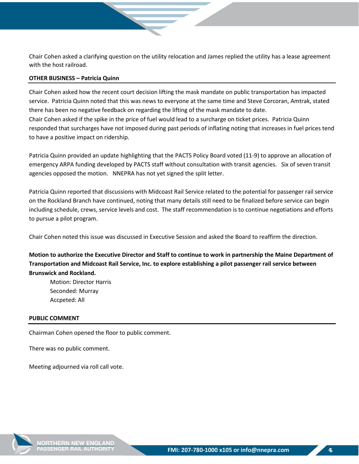Chair Cohen asked a clarifying question on the utility relocation and James replied the utility has a lease agreement with the host railroad.

#### **OTHER BUSINESS – Patricia Quinn**

Chair Cohen asked how the recent court decision lifting the mask mandate on public transportation has impacted service. Patricia Quinn noted that this was news to everyone at the same time and Steve Corcoran, Amtrak, stated there has been no negative feedback on regarding the lifting of the mask mandate to date. Chair Cohen asked if the spike in the price of fuel would lead to a surcharge on ticket prices. Patricia Quinn responded that surcharges have not imposed during past periods of inflating noting that increases in fuel prices tend to have a positive impact on ridership.

Patricia Quinn provided an update highlighting that the PACTS Policy Board voted (11-9) to approve an allocation of emergency ARPA funding developed by PACTS staff without consultation with transit agencies. Six of seven transit agencies opposed the motion. NNEPRA has not yet signed the split letter.

Patricia Quinn reported that discussions with Midcoast Rail Service related to the potential for passenger rail service on the Rockland Branch have continued, noting that many details still need to be finalized before service can begin including schedule, crews, service levels and cost. The staff recommendation is to continue negotiations and efforts to pursue a pilot program.

Chair Cohen noted this issue was discussed in Executive Session and asked the Board to reaffirm the direction.

**Motion to authorize the Executive Director and Staff to continue to work in partnership the Maine Department of Transportation and Midcoast Rail Service, Inc. to explore establishing a pilot passenger rail service between Brunswick and Rockland.** 

Motion: Director Harris Seconded: Murray Accpeted: All

#### **PUBLIC COMMENT**

Chairman Cohen opened the floor to public comment.

There was no public comment.

Meeting adjourned via roll call vote.

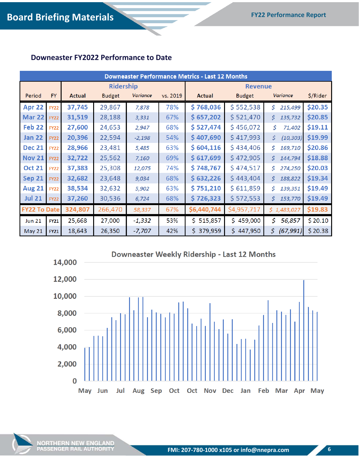## **Downeaster FY2022 Performance to Date**

| <b>Downeaster Performance Metrics - Last 12 Months</b> |             |               |                  |          |          |                |               |                  |          |  |  |  |
|--------------------------------------------------------|-------------|---------------|------------------|----------|----------|----------------|---------------|------------------|----------|--|--|--|
|                                                        |             |               | <b>Ridership</b> |          |          | <b>Revenue</b> |               |                  |          |  |  |  |
| Period                                                 | <b>FY</b>   | <b>Actual</b> | <b>Budget</b>    | Variance | vs. 2019 | <b>Actual</b>  | <b>Budget</b> | <b>Variance</b>  | \$/Rider |  |  |  |
| Apr 22                                                 | <b>FY22</b> | 37,745        | 29,867           | 7,878    | 78%      | \$768,036      | \$552,538     | \$<br>215,499    | \$20.35  |  |  |  |
| <b>Mar 22</b>                                          | <b>FY22</b> | 31,519        | 28,188           | 3,331    | 67%      | \$657,202      | \$521,470     | \$<br>135,732    | \$20.85  |  |  |  |
| Feb <sub>22</sub>                                      | <b>FY22</b> | 27,600        | 24,653           | 2,947    | 68%      | \$527,474      | \$456,072     | \$.<br>71,402    | \$19.11  |  |  |  |
| <b>Jan 22</b>                                          | <b>FY22</b> | 20,396        | 22,594           | $-2,198$ | 54%      | \$407,690      | \$417,993     | \$<br>(10, 303)  | \$19.99  |  |  |  |
| <b>Dec 21</b>                                          | <b>FY22</b> | 28,966        | 23,481           | 5,485    | 63%      | \$604,116      | \$434,406     | \$<br>169,710    | \$20.86  |  |  |  |
| <b>Nov 21</b>                                          | <b>FY22</b> | 32,722        | 25,562           | 7,160    | 69%      | \$617,699      | \$472,905     | \$<br>144,794    | \$18.88  |  |  |  |
| <b>Oct 21</b>                                          | <b>FY22</b> | 37,383        | 25,308           | 12,075   | 74%      | \$748,767      | \$474,517     | \$<br>274,250    | \$20.03  |  |  |  |
| <b>Sep 21</b>                                          | <b>FY22</b> | 32,682        | 23,648           | 9,034    | 68%      | \$632,226      | \$443,404     | \$<br>188,822    | \$19.34  |  |  |  |
| <b>Aug 21</b>                                          | <b>FY22</b> | 38,534        | 32,632           | 5,902    | 63%      | \$751,210      | \$611,859     | \$<br>139,351    | \$19.49  |  |  |  |
| <b>Jul 21</b>                                          | <b>FY22</b> | 37,260        | 30,536           | 6,724    | 68%      | \$726,323      | \$ 572,553    | \$<br>153,770    | \$19.49  |  |  |  |
| <b>FY22 To Date</b>                                    |             | 324,807       | 266,470          | 58,337   | 67%      | \$6,440,744    | \$4,957,717   | \$1,483,027      | \$19.83  |  |  |  |
| <b>Jun 21</b>                                          | <b>FY21</b> | 25,668        | 27,000           | $-1,332$ | 53%      | \$515,857      | \$459,000     | \$<br>56,857     | \$20.10  |  |  |  |
| May 21                                                 | <b>FY21</b> | 18,643        | 26,350           | $-7,707$ | 42%      | 379,959<br>Ś.  | 447,950<br>Ś. | \$.<br>(67, 991) | \$20.38  |  |  |  |

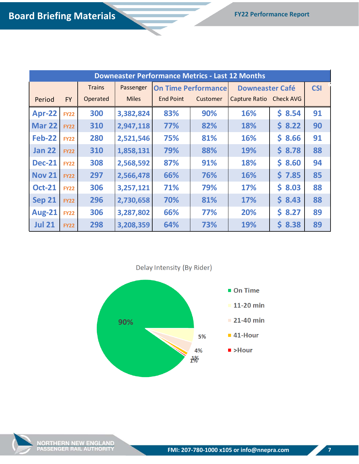# **Board Briefing Materials FY22 Performance Report**

| <b>Downeaster Performance Metrics - Last 12 Months</b> |             |               |              |                  |                            |                         |            |    |  |  |
|--------------------------------------------------------|-------------|---------------|--------------|------------------|----------------------------|-------------------------|------------|----|--|--|
|                                                        |             | <b>Trains</b> | Passenger    |                  | <b>On Time Performance</b> | <b>Downeaster Café</b>  | <b>CSI</b> |    |  |  |
| Period                                                 | <b>FY</b>   | Operated      | <b>Miles</b> | <b>End Point</b> | Customer                   | Capture Ratio Check AVG |            |    |  |  |
| <b>Apr-22</b>                                          | <b>FY22</b> | 300           | 3,382,824    | 83%              | 90%                        | 16%                     | \$8.54     | 91 |  |  |
| <b>Mar 22</b>                                          | <b>FY22</b> | 310           | 2,947,118    | 77%              | 82%                        | 18%                     | 58.22      | 90 |  |  |
| <b>Feb-22</b>                                          | <b>FY22</b> | 280           | 2,521,546    | 75%              | 81%                        | 16%                     | \$8.66     | 91 |  |  |
| <b>Jan 22</b>                                          | <b>FY22</b> | 310           | 1,858,131    | 79%              | 88%                        | <b>19%</b>              | \$8.78     | 88 |  |  |
| <b>Dec-21</b>                                          | <b>FY22</b> | 308           | 2,568,592    | 87%              | 91%                        | 18%                     | \$8.60     | 94 |  |  |
| <b>Nov 21</b>                                          | <b>FY22</b> | 297           | 2,566,478    | 66%              | 76%                        | 16%                     | 57.85      | 85 |  |  |
| <b>Oct-21</b>                                          | <b>FY22</b> | 306           | 3,257,121    | 71%              | 79%                        | <b>17%</b>              | \$8.03     | 88 |  |  |
| <b>Sep 21</b>                                          | <b>FY22</b> | 296           | 2,730,658    | 70%              | 81%                        | <b>17%</b>              | \$8.43     | 88 |  |  |
| <b>Aug-21</b>                                          | <b>FY22</b> | 306           | 3,287,802    | 66%              | 77%                        | 20%                     | 58.27      | 89 |  |  |
| <b>Jul 21</b>                                          | <b>FY22</b> | 298           | 3,208,359    | 64%              | 73%                        | 19%                     | \$8.38     | 89 |  |  |

Delay Intensity (By Rider)





NORTHERN NEW ENGLAND<br>PASSENGER RAIL AUTHORITY

**7**